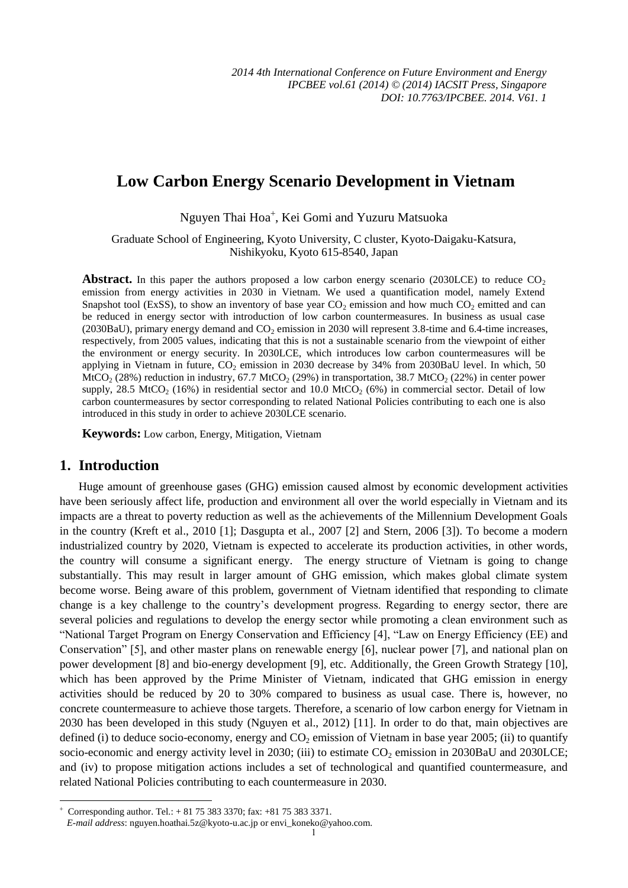# **Low Carbon Energy Scenario Development in Vietnam**

Nguyen Thai Hoa<sup>+</sup>, Kei Gomi and Yuzuru Matsuoka

Graduate School of Engineering, Kyoto University, C cluster, Kyoto-Daigaku-Katsura, Nishikyoku, Kyoto 615-8540, Japan

**Abstract.** In this paper the authors proposed a low carbon energy scenario (2030LCE) to reduce  $CO<sub>2</sub>$ emission from energy activities in 2030 in Vietnam. We used a quantification model, namely Extend Snapshot tool (ExSS), to show an inventory of base year  $CO<sub>2</sub>$  emission and how much  $CO<sub>2</sub>$  emitted and can be reduced in energy sector with introduction of low carbon countermeasures. In business as usual case (2030BaU), primary energy demand and  $CO<sub>2</sub>$  emission in 2030 will represent 3.8-time and 6.4-time increases, respectively, from 2005 values, indicating that this is not a sustainable scenario from the viewpoint of either the environment or energy security. In 2030LCE, which introduces low carbon countermeasures will be applying in Vietnam in future,  $CO_2$  emission in 2030 decrease by 34% from 2030BaU level. In which, 50  $MtCO<sub>2</sub>$  (28%) reduction in industry, 67.7 MtCO<sub>2</sub> (29%) in transportation, 38.7 MtCO<sub>2</sub> (22%) in center power supply, 28.5 MtCO<sub>2</sub> (16%) in residential sector and 10.0 MtCO<sub>2</sub> (6%) in commercial sector. Detail of low carbon countermeasures by sector corresponding to related National Policies contributing to each one is also introduced in this study in order to achieve 2030LCE scenario.

**Keywords:** Low carbon, Energy, Mitigation, Vietnam

## **1. Introduction**

1

Huge amount of greenhouse gases (GHG) emission caused almost by economic development activities have been seriously affect life, production and environment all over the world especially in Vietnam and its impacts are a threat to poverty reduction as well as the achievements of the Millennium Development Goals in the country (Kreft et al., 2010 [1]; Dasgupta et al., 2007 [2] and Stern, 2006 [3]). To become a modern industrialized country by 2020, Vietnam is expected to accelerate its production activities, in other words, the country will consume a significant energy. The energy structure of Vietnam is going to change substantially. This may result in larger amount of GHG emission, which makes global climate system become worse. Being aware of this problem, government of Vietnam identified that responding to climate change is a key challenge to the country's development progress. Regarding to energy sector, there are several policies and regulations to develop the energy sector while promoting a clean environment such as "National Target Program on Energy Conservation and Efficiency [4], "Law on Energy Efficiency (EE) and Conservation" [5], and other master plans on renewable energy [6], nuclear power [7], and national plan on power development [8] and bio-energy development [9], etc. Additionally, the Green Growth Strategy [10], which has been approved by the Prime Minister of Vietnam, indicated that GHG emission in energy activities should be reduced by 20 to 30% compared to business as usual case. There is, however, no concrete countermeasure to achieve those targets. Therefore, a scenario of low carbon energy for Vietnam in 2030 has been developed in this study (Nguyen et al., 2012) [11]. In order to do that, main objectives are defined (i) to deduce socio-economy, energy and  $CO<sub>2</sub>$  emission of Vietnam in base year 2005; (ii) to quantify socio-economic and energy activity level in 2030; (iii) to estimate  $CO_2$  emission in 2030BaU and 2030LCE; and (iv) to propose mitigation actions includes a set of technological and quantified countermeasure, and related National Policies contributing to each countermeasure in 2030.

 $\overline{+}$ Corresponding author. Tel.: + 81 75 383 3370; fax: +81 75 383 3371.

*E-mail address*: nguyen.hoathai.5z@kyoto-u.ac.jp or envi\_koneko@yahoo.com.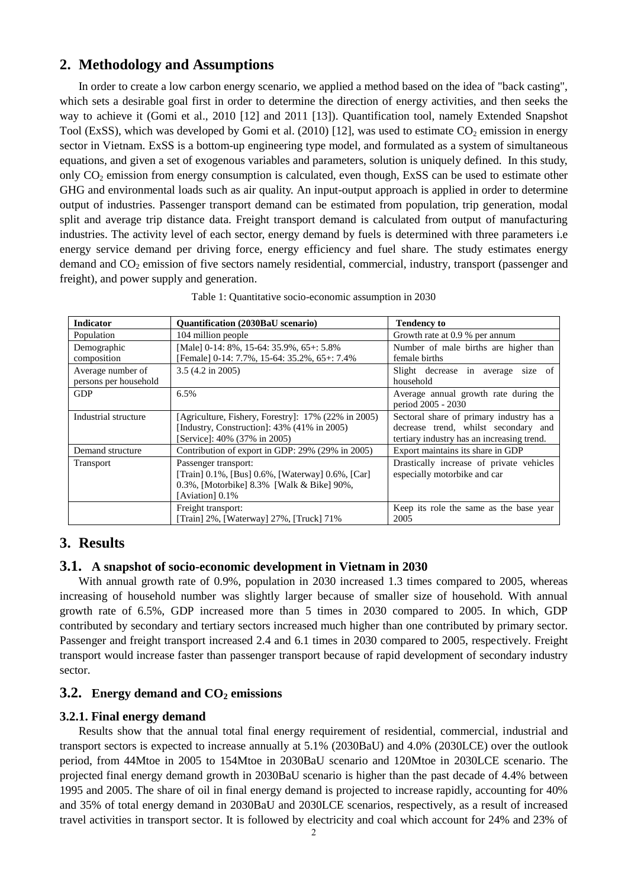# **2. Methodology and Assumptions**

In order to create a low carbon energy scenario, we applied a method based on the idea of "back casting", which sets a desirable goal first in order to determine the direction of energy activities, and then seeks the way to achieve it (Gomi et al., 2010 [12] and 2011 [13]). Quantification tool, namely Extended Snapshot Tool (ExSS), which was developed by Gomi et al. (2010) [12], was used to estimate  $CO_2$  emission in energy sector in Vietnam. ExSS is a bottom-up engineering type model, and formulated as a system of simultaneous equations, and given a set of exogenous variables and parameters, solution is uniquely defined. In this study, only  $CO<sub>2</sub>$  emission from energy consumption is calculated, even though, ExSS can be used to estimate other GHG and environmental loads such as air quality. An input-output approach is applied in order to determine output of industries. Passenger transport demand can be estimated from population, trip generation, modal split and average trip distance data. Freight transport demand is calculated from output of manufacturing industries. The activity level of each sector, energy demand by fuels is determined with three parameters i.e energy service demand per driving force, energy efficiency and fuel share. The study estimates energy demand and CO<sub>2</sub> emission of five sectors namely residential, commercial, industry, transport (passenger and freight), and power supply and generation.

| <b>Indicator</b>      | <b>Ouantification (2030BaU scenario)</b>            | <b>Tendency to</b>                                          |
|-----------------------|-----------------------------------------------------|-------------------------------------------------------------|
| Population            | 104 million people                                  | Growth rate at 0.9 % per annum                              |
| Demographic           | [Male] 0-14: 8%, 15-64: 35.9%, 65+: 5.8%            | Number of male births are higher than                       |
| composition           | [Female] 0-14: 7.7%, 15-64: 35.2%, 65+: 7.4%        | female births                                               |
| Average number of     | $3.5(4.2 \text{ in } 2005)$                         | Slight decrease in average size of                          |
| persons per household |                                                     | household                                                   |
| <b>GDP</b>            | 6.5%                                                | Average annual growth rate during the<br>period 2005 - 2030 |
| Industrial structure  | [Agriculture, Fishery, Forestry]: 17% (22% in 2005) | Sectoral share of primary industry has a                    |
|                       | [Industry, Construction]: 43% (41% in 2005)         | decrease trend, whilst secondary and                        |
|                       | Service]: 40% (37% in 2005)                         | tertiary industry has an increasing trend.                  |
| Demand structure      | Contribution of export in GDP: 29% (29% in 2005)    | Export maintains its share in GDP                           |
| Transport             | Passenger transport:                                | Drastically increase of private vehicles                    |
|                       | [Train] 0.1%, [Bus] 0.6%, [Waterway] 0.6%, [Car]    | especially motorbike and car                                |
|                       | 0.3%, [Motorbike] 8.3% [Walk & Bike] 90%,           |                                                             |
|                       | [Aviation] 0.1%                                     |                                                             |
|                       | Freight transport:                                  | Keep its role the same as the base year                     |
|                       | Train] 2%, [Waterway] 27%, [Truck] 71%              | 2005                                                        |

| Table 1: Quantitative socio-economic assumption in 2030 |  |  |
|---------------------------------------------------------|--|--|
|                                                         |  |  |

# **3. Results**

#### **3.1. A snapshot of socio-economic development in Vietnam in 2030**

With annual growth rate of 0.9%, population in 2030 increased 1.3 times compared to 2005, whereas increasing of household number was slightly larger because of smaller size of household. With annual growth rate of 6.5%, GDP increased more than 5 times in 2030 compared to 2005. In which, GDP contributed by secondary and tertiary sectors increased much higher than one contributed by primary sector. Passenger and freight transport increased 2.4 and 6.1 times in 2030 compared to 2005, respectively. Freight transport would increase faster than passenger transport because of rapid development of secondary industry sector.

#### **3.2. Energy demand and CO2 emissions**

#### **3.2.1. Final energy demand**

Results show that the annual total final energy requirement of residential, commercial, industrial and transport sectors is expected to increase annually at 5.1% (2030BaU) and 4.0% (2030LCE) over the outlook period, from 44Mtoe in 2005 to 154Mtoe in 2030BaU scenario and 120Mtoe in 2030LCE scenario. The projected final energy demand growth in 2030BaU scenario is higher than the past decade of 4.4% between 1995 and 2005. The share of oil in final energy demand is projected to increase rapidly, accounting for 40% and 35% of total energy demand in 2030BaU and 2030LCE scenarios, respectively, as a result of increased travel activities in transport sector. It is followed by electricity and coal which account for 24% and 23% of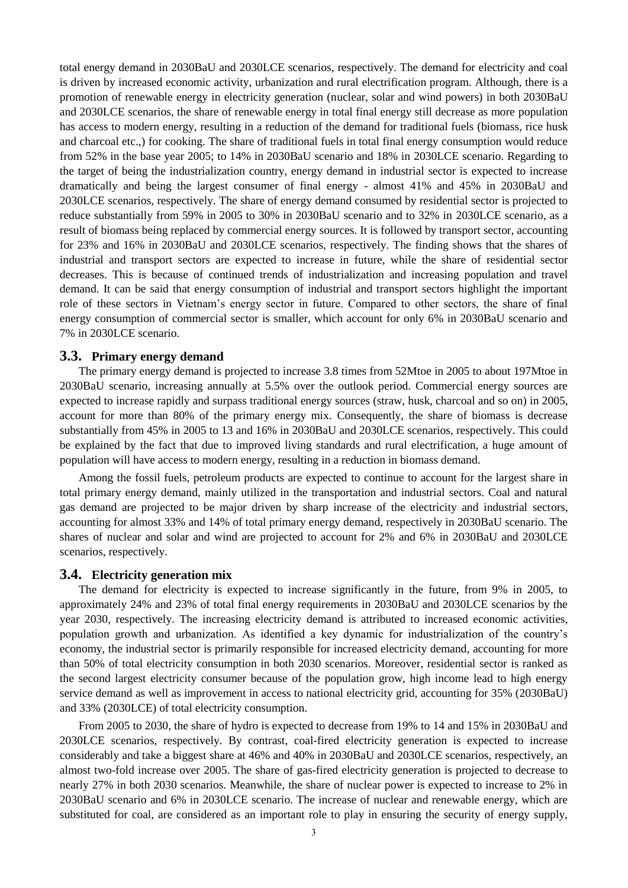total energy demand in 2030BaU and 2030LCE scenarios, respectively. The demand for electricity and coal is driven by increased economic activity, urbanization and rural electrification program. Although, there is a promotion of renewable energy in electricity generation (nuclear, solar and wind powers) in both 2030BaU and 2030LCE scenarios, the share of renewable energy in total final energy still decrease as more population has access to modern energy, resulting in a reduction of the demand for traditional fuels (biomass, rice husk and charcoal etc.,) for cooking. The share of traditional fuels in total final energy consumption would reduce from 52% in the base year 2005; to 14% in 2030BaU scenario and 18% in 2030LCE scenario. Regarding to the target of being the industrialization country, energy demand in industrial sector is expected to increase dramatically and being the largest consumer of final energy - almost 41% and 45% in 2030BaU and 2030LCE scenarios, respectively. The share of energy demand consumed by residential sector is projected to reduce substantially from 59% in 2005 to 30% in 2030BaU scenario and to 32% in 2030LCE scenario, as a result of biomass being replaced by commercial energy sources. It is followed by transport sector, accounting for 23% and 16% in 2030BaU and 2030LCE scenarios, respectively. The finding shows that the shares of industrial and transport sectors are expected to increase in future, while the share of residential sector decreases. This is because of continued trends of industrialization and increasing population and travel demand. It can be said that energy consumption of industrial and transport sectors highlight the important role of these sectors in Vietnam's energy sector in future. Compared to other sectors, the share of final energy consumption of commercial sector is smaller, which account for only 6% in 2030BaU scenario and 7% in 2030LCE scenario.

#### **3.3. Primary energy demand**

The primary energy demand is projected to increase 3.8 times from 52Mtoe in 2005 to about 197Mtoe in 2030BaU scenario, increasing annually at 5.5% over the outlook period. Commercial energy sources are expected to increase rapidly and surpass traditional energy sources (straw, husk, charcoal and so on) in 2005, account for more than 80% of the primary energy mix. Consequently, the share of biomass is decrease substantially from 45% in 2005 to 13 and 16% in 2030BaU and 2030LCE scenarios, respectively. This could be explained by the fact that due to improved living standards and rural electrification, a huge amount of population will have access to modern energy, resulting in a reduction in biomass demand.

Among the fossil fuels, petroleum products are expected to continue to account for the largest share in total primary energy demand, mainly utilized in the transportation and industrial sectors. Coal and natural gas demand are projected to be major driven by sharp increase of the electricity and industrial sectors, accounting for almost 33% and 14% of total primary energy demand, respectively in 2030BaU scenario. The shares of nuclear and solar and wind are projected to account for 2% and 6% in 2030BaU and 2030LCE scenarios, respectively.

#### **3.4. Electricity generation mix**

The demand for electricity is expected to increase significantly in the future, from 9% in 2005, to approximately 24% and 23% of total final energy requirements in 2030BaU and 2030LCE scenarios by the year 2030, respectively. The increasing electricity demand is attributed to increased economic activities, population growth and urbanization. As identified a key dynamic for industrialization of the country's economy, the industrial sector is primarily responsible for increased electricity demand, accounting for more than 50% of total electricity consumption in both 2030 scenarios. Moreover, residential sector is ranked as the second largest electricity consumer because of the population grow, high income lead to high energy service demand as well as improvement in access to national electricity grid, accounting for 35% (2030BaU) and 33% (2030LCE) of total electricity consumption.

From 2005 to 2030, the share of hydro is expected to decrease from 19% to 14 and 15% in 2030BaU and 2030LCE scenarios, respectively. By contrast, coal-fired electricity generation is expected to increase considerably and take a biggest share at 46% and 40% in 2030BaU and 2030LCE scenarios, respectively, an almost two-fold increase over 2005. The share of gas-fired electricity generation is projected to decrease to nearly 27% in both 2030 scenarios. Meanwhile, the share of nuclear power is expected to increase to 2% in 2030BaU scenario and 6% in 2030LCE scenario. The increase of nuclear and renewable energy, which are substituted for coal, are considered as an important role to play in ensuring the security of energy supply,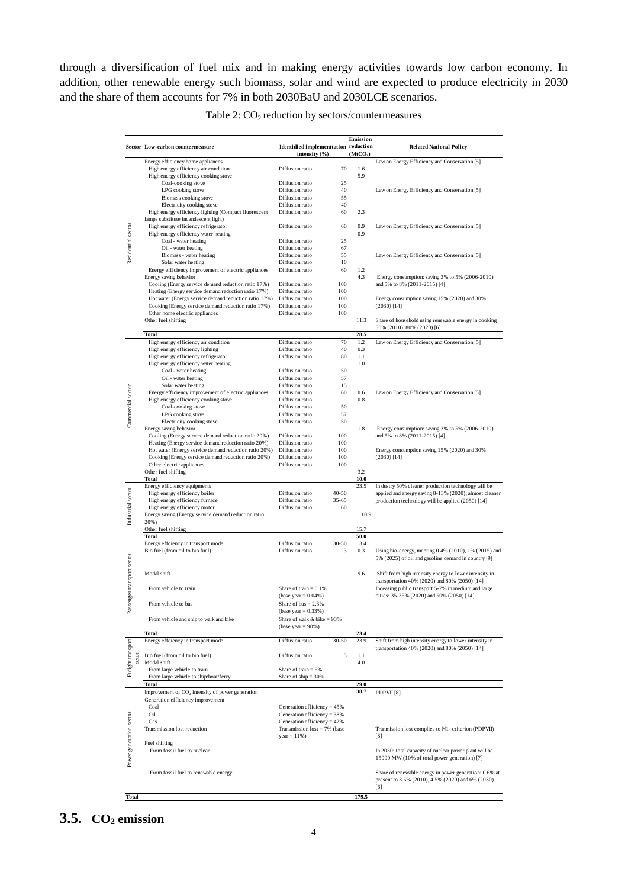through a diversification of fuel mix and in making energy activities towards low carbon economy. In addition, other renewable energy such biomass, solar and wind are expected to produce electricity in 2030 and the share of them accounts for 7% in both 2030BaU and 2030LCE scenarios.

| Sector Low-carbon countermeasure        |                                                              | <b>Identidied implementtation reduction</b><br>intensity (%) |           | Emission<br>(MtCO <sub>2</sub> ) | <b>Related National Policy</b>                                                                                     |
|-----------------------------------------|--------------------------------------------------------------|--------------------------------------------------------------|-----------|----------------------------------|--------------------------------------------------------------------------------------------------------------------|
|                                         | Energy efficiency home appliances                            |                                                              |           |                                  | Law on Energy Efficiency and Conservation [5]                                                                      |
|                                         | High energy efficiency air condition                         | Diffusion ratio                                              | 70        | 1.6                              |                                                                                                                    |
|                                         | High energy efficiency cooking stove                         |                                                              |           | 5.9                              |                                                                                                                    |
|                                         | Coal-cooking stove                                           | Diffusion ratio                                              | 25        |                                  |                                                                                                                    |
|                                         | LPG cooking stove                                            | Diffusion ratio                                              | 40        |                                  | Law on Energy Efficiency and Conservation [5]                                                                      |
|                                         | Biomass cooking stove                                        | Diffusion ratio                                              | 55        |                                  |                                                                                                                    |
|                                         | Electricity cooking stove                                    | Diffusion ratio                                              | 40        |                                  |                                                                                                                    |
|                                         | High energy efficiency lighting (Compact fluorescent         | Diffusion ratio                                              | 60        | 2.3                              |                                                                                                                    |
|                                         |                                                              |                                                              |           |                                  |                                                                                                                    |
|                                         | lamps substitute incandescent light)                         |                                                              |           |                                  |                                                                                                                    |
|                                         | High energy efficiency refrigerator                          | Diffusion ratio                                              | 60        | 0.9                              | Law on Energy Efficiency and Conservation [5]                                                                      |
|                                         | High energy efficiency water heating                         |                                                              |           | 0.9                              |                                                                                                                    |
|                                         | Coal - water heating                                         | Diffusion ratio                                              | 25        |                                  |                                                                                                                    |
|                                         | Oil - water heating                                          | Diffusion ratio                                              | 67        |                                  |                                                                                                                    |
| Residential sector                      | Biomass - water heating                                      | Diffusion ratio                                              | 55        |                                  | Law on Energy Efficiency and Conservation [5]                                                                      |
|                                         | Solar water heating                                          | Diffusion ratio                                              | 10        |                                  |                                                                                                                    |
|                                         | Energy efficiency improvement of electric appliances         | Diffusion ratio                                              | 60        | 1.2                              |                                                                                                                    |
|                                         | Energy saving behavior                                       |                                                              |           | 4.3                              | Energy consumption: saving 3% to 5% (2006-2010)                                                                    |
|                                         | Cooling (Energy service demand reduction ratio 17%)          | Diffusion ratio                                              | 100       |                                  | and 5% to 8% (2011-2015) [4]                                                                                       |
|                                         | Heating (Energy service demand reduction ratio 17%)          | Diffusion ratio                                              | 100       |                                  |                                                                                                                    |
|                                         | Hot water (Energy service demand reduction ratio 17%)        | Diffusion ratio                                              | 100       |                                  | Energy consumption saving 15% (2020) and 30%                                                                       |
|                                         | Cooking (Energy service demand reduction ratio 17%)          | Diffusion ratio                                              | 100       |                                  | $(2030)$ [14]                                                                                                      |
|                                         |                                                              |                                                              | 100       |                                  |                                                                                                                    |
|                                         | Other home electric appliances                               | Diffusion ratio                                              |           |                                  |                                                                                                                    |
|                                         | Other fuel shifting                                          |                                                              |           | 11.3                             | Share of household using renewable energy in cooking                                                               |
|                                         |                                                              |                                                              |           |                                  | 50% (2010), 80% (2020) [6]                                                                                         |
|                                         | <b>Total</b>                                                 |                                                              |           | 28.5                             |                                                                                                                    |
|                                         | High energy efficiency air condition                         | Diffusion ratio                                              | 70        | 1.2                              | Law on Energy Efficiency and Conservation [5]                                                                      |
|                                         | High energy efficiency lighting                              | Diffusion ratio                                              | 40        | 0.3                              |                                                                                                                    |
|                                         | High energy efficiency refrigerator                          | Diffusion ratio                                              | 80        | 1.1                              |                                                                                                                    |
|                                         | High energy efficiency water heating                         |                                                              |           | 1.0                              |                                                                                                                    |
|                                         | Coal - water heating                                         | Diffusion ratio                                              | 50        |                                  |                                                                                                                    |
|                                         | Oil - water heating                                          | Diffusion ratio                                              | 57        |                                  |                                                                                                                    |
|                                         | Solar water heating                                          | Diffusion ratio                                              | 15        |                                  |                                                                                                                    |
| Commercial sector                       |                                                              |                                                              |           |                                  | Law on Energy Efficiency and Conservation [5]                                                                      |
|                                         | Energy efficiency improvement of electric appliances         | Diffusion ratio                                              | 60        | 0.6                              |                                                                                                                    |
|                                         | High energy efficiency cooking stove                         | Diffusion ratio                                              |           | 0.8                              |                                                                                                                    |
|                                         | Coal-cooking stove                                           | Diffusion ratio                                              | 50        |                                  |                                                                                                                    |
|                                         | LPG cooking stove                                            | Diffusion ratio                                              | 57        |                                  |                                                                                                                    |
|                                         | Electricity cooking stove                                    | Diffusion ratio                                              | 50        |                                  |                                                                                                                    |
|                                         | Energy saving behavior                                       |                                                              |           | 1.8                              | Energy consumption: saving 3% to 5% (2006-2010)                                                                    |
|                                         | Cooling (Energy service demand reduction ratio 20%)          | Diffusion ratio                                              | 100       |                                  | and 5% to 8% (2011-2015) [4]                                                                                       |
|                                         | Heating (Energy service demand reduction ratio 20%)          | Diffusion ratio                                              | 100       |                                  |                                                                                                                    |
|                                         | Hot water (Energy service demand reduction ratio 20%)        | Diffusion ratio                                              | 100       |                                  | Energy consumption saving 15% (2020) and 30%                                                                       |
|                                         | Cooking (Energy service demand reduction ratio 20%)          | Diffusion ratio                                              | 100       |                                  | $(2030)$ [14]                                                                                                      |
|                                         | Other electric appliances                                    | Diffusion ratio                                              | 100       |                                  |                                                                                                                    |
|                                         | Other fuel shifting                                          |                                                              |           | 3.2                              |                                                                                                                    |
|                                         | <b>Total</b>                                                 |                                                              |           | 10.0                             |                                                                                                                    |
|                                         | Energy efficiency equipments                                 |                                                              |           | 23.5                             | In dustry 50% cleaner production technology will be                                                                |
|                                         |                                                              | Diffusion ratio                                              | $40 - 50$ |                                  |                                                                                                                    |
| Industrial sector                       | High energy efficiency boiler                                | Diffusion ratio                                              | $35 - 65$ |                                  | applied and energy saving 8-13% (2020); almost cleaner                                                             |
|                                         | High energy efficiency furnace                               |                                                              |           |                                  | production technology will be applied (2050) [14]                                                                  |
|                                         | High energy efficiency motor                                 | Diffusion ratio                                              | 60        |                                  |                                                                                                                    |
|                                         | Energy saving (Energy service demand reduction ratio         |                                                              |           | 10.9                             |                                                                                                                    |
|                                         | 20%)                                                         |                                                              |           |                                  |                                                                                                                    |
|                                         | Other fuel shifting                                          |                                                              |           | 15.7                             |                                                                                                                    |
|                                         | <b>Total</b>                                                 |                                                              |           | 50.0                             |                                                                                                                    |
|                                         | Energy effciency in transport mode                           | Diffusion ratio                                              | 30-50     | 13.4                             |                                                                                                                    |
|                                         | Bio fuel (from oil to bio fuel)                              | Diffusion ratio                                              | 3         | 0.3                              | Using bio-energy, meeting 0.4% (2010), 1% (2015) and                                                               |
|                                         |                                                              |                                                              |           |                                  | 5% (2025) of oil and gasoline demand in country [9]                                                                |
|                                         |                                                              |                                                              |           |                                  |                                                                                                                    |
|                                         |                                                              |                                                              |           |                                  |                                                                                                                    |
|                                         | Modal shift                                                  |                                                              |           | 9.6                              | Shift from high intensity energy to lower intensity in                                                             |
|                                         |                                                              |                                                              |           |                                  | transportation 40% (2020) and 80% (2050) [14]                                                                      |
| nger transport sector                   | From vehicle to train                                        | Share of train $= 0.1\%$                                     |           |                                  | Inceasing public transport 5-7% in medium and large                                                                |
|                                         |                                                              | (base year = $0.04%$ )                                       |           |                                  | cities: 35-35% (2020) and 50% (2050) [14]                                                                          |
|                                         | From vehicle to bus                                          | Share of bus $= 2.3\%$                                       |           |                                  |                                                                                                                    |
| Passe                                   |                                                              |                                                              |           |                                  |                                                                                                                    |
|                                         |                                                              | (base year = $0.33%$ )                                       |           |                                  |                                                                                                                    |
|                                         | From vehicle and ship to walk and bike                       | Share of walk $&$ bike = 93%                                 |           |                                  |                                                                                                                    |
|                                         |                                                              | (base year = $90\%$ )                                        |           |                                  |                                                                                                                    |
|                                         | <b>Total</b>                                                 |                                                              |           | 23.4                             |                                                                                                                    |
|                                         | Energy effciency in transport mode                           | Diffusion ratio                                              | 30-50     | 23.9                             | Shift from high intensity energy to lower intensity in                                                             |
|                                         |                                                              |                                                              |           |                                  | transportation 40% (2020) and 80% (2050) [14]                                                                      |
| Freight transport                       | Bio fuel (from oil to bio fuel)                              | Diffusion ratio                                              | 5         | 1.1                              |                                                                                                                    |
|                                         | Modal shift                                                  |                                                              |           | 4.0                              |                                                                                                                    |
|                                         | From large vehicle to train                                  | Share of train $= 5\%$                                       |           |                                  |                                                                                                                    |
|                                         |                                                              | Share of $ship = 30%$                                        |           |                                  |                                                                                                                    |
|                                         | From large vehicle to ship/boat/ferry                        |                                                              |           |                                  |                                                                                                                    |
|                                         | <b>Total</b>                                                 |                                                              |           | 29.0                             |                                                                                                                    |
|                                         | Improvement of CO <sub>2</sub> intensity of power generation |                                                              |           | 38.7                             | PDPVII <sup>[8]</sup>                                                                                              |
|                                         | Generation efficiency improvement                            |                                                              |           |                                  |                                                                                                                    |
|                                         | Coal                                                         | Generation efficiency = 45%                                  |           |                                  |                                                                                                                    |
|                                         | Oil                                                          | Generation efficiency = 38%                                  |           |                                  |                                                                                                                    |
|                                         | Gas                                                          | Generation efficiency = 42%                                  |           |                                  |                                                                                                                    |
|                                         |                                                              |                                                              |           |                                  |                                                                                                                    |
|                                         | Transmission lost reduction                                  | Transmission $lost = 7%$ (base                               |           |                                  | Tranmission lost complies to N1- criterion (PDPVII)                                                                |
|                                         |                                                              | $year = 11%$ )                                               |           |                                  | [8]                                                                                                                |
|                                         |                                                              |                                                              |           |                                  |                                                                                                                    |
|                                         | Fuel shifting                                                |                                                              |           |                                  | In 2030: total capacity of nuclear power plant will be                                                             |
|                                         | From fossil fuel to nuclear                                  |                                                              |           |                                  |                                                                                                                    |
|                                         |                                                              |                                                              |           |                                  | 15000 MW (10% of total power generation) [7]                                                                       |
|                                         |                                                              |                                                              |           |                                  |                                                                                                                    |
|                                         |                                                              |                                                              |           |                                  |                                                                                                                    |
|                                         | From fossil fuel to renewable energy                         |                                                              |           |                                  |                                                                                                                    |
|                                         |                                                              |                                                              |           |                                  |                                                                                                                    |
| Power generation sector<br><b>Total</b> |                                                              |                                                              |           | 179.5                            | Share of renewable energy in power generation: 0.6% at<br>present to 3.5% (2010), 4.5% (2020) and 6% (2030)<br>[6] |

#### Table 2:  $CO<sub>2</sub>$  reduction by sectors/countermeasures

**3.5. CO2 emission**